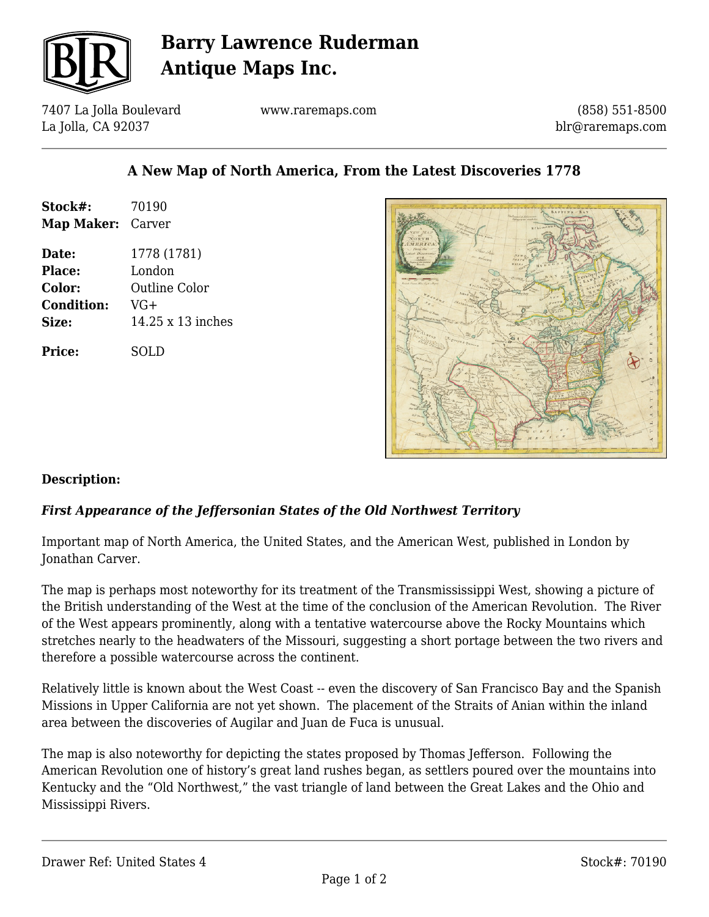

## **Barry Lawrence Ruderman Antique Maps Inc.**

7407 La Jolla Boulevard La Jolla, CA 92037

www.raremaps.com

(858) 551-8500 blr@raremaps.com

### **A New Map of North America, From the Latest Discoveries 1778**

| Stock#:<br>Map Maker: Carver | 70190                |
|------------------------------|----------------------|
| Date:                        | 1778 (1781)          |
| <b>Place:</b>                | London               |
| <b>Color:</b>                | <b>Outline Color</b> |
| <b>Condition:</b>            | VG+                  |
| <b>Size:</b>                 | 14.25 x 13 inches    |
| <b>Price:</b>                | SOLD                 |



#### **Description:**

#### *First Appearance of the Jeffersonian States of the Old Northwest Territory*

Important map of North America, the United States, and the American West, published in London by Jonathan Carver.

The map is perhaps most noteworthy for its treatment of the Transmississippi West, showing a picture of the British understanding of the West at the time of the conclusion of the American Revolution. The River of the West appears prominently, along with a tentative watercourse above the Rocky Mountains which stretches nearly to the headwaters of the Missouri, suggesting a short portage between the two rivers and therefore a possible watercourse across the continent.

Relatively little is known about the West Coast -- even the discovery of San Francisco Bay and the Spanish Missions in Upper California are not yet shown. The placement of the Straits of Anian within the inland area between the discoveries of Augilar and Juan de Fuca is unusual.

The map is also noteworthy for depicting the states proposed by Thomas Jefferson. Following the American Revolution one of history's great land rushes began, as settlers poured over the mountains into Kentucky and the "Old Northwest," the vast triangle of land between the Great Lakes and the Ohio and Mississippi Rivers.